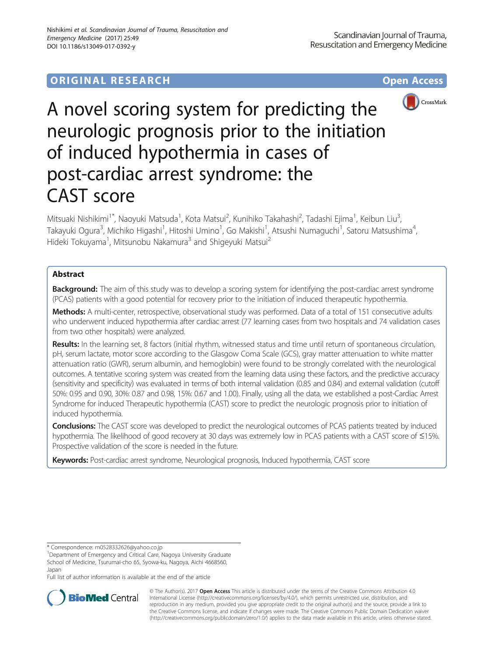## **ORIGINAL RESEARCH CONFIDENTIAL CONFIDENTIAL CONFIDENTIAL CONFIDENTIAL CONFIDENTIAL CONFIDENTIAL CONFIDENTIAL CONFIDENTIAL CONFIDENTIAL CONFIDENTIAL CONFIDENTIAL CONFIDENTIAL CONFIDENTIAL CONFIDENTIAL CONFIDENTIAL CONFIDEN**



# A novel scoring system for predicting the neurologic prognosis prior to the initiation of induced hypothermia in cases of post-cardiac arrest syndrome: the CAST score

Mitsuaki Nishikimi<sup>1\*</sup>, Naoyuki Matsuda<sup>1</sup>, Kota Matsui<sup>2</sup>, Kunihiko Takahashi<sup>2</sup>, Tadashi Ejima<sup>1</sup>, Keibun Liu<sup>3</sup> , Takayuki Ogura<sup>3</sup>, Michiko Higashi<sup>1</sup>, Hitoshi Umino<sup>1</sup>, Go Makishi<sup>1</sup>, Atsushi Numaguchi<sup>1</sup>, Satoru Matsushima<sup>4</sup> , Hideki Tokuyama<sup>1</sup>, Mitsunobu Nakamura<sup>3</sup> and Shigeyuki Matsui<sup>2</sup>

## Abstract

Background: The aim of this study was to develop a scoring system for identifying the post-cardiac arrest syndrome (PCAS) patients with a good potential for recovery prior to the initiation of induced therapeutic hypothermia.

Methods: A multi-center, retrospective, observational study was performed. Data of a total of 151 consecutive adults who underwent induced hypothermia after cardiac arrest (77 learning cases from two hospitals and 74 validation cases from two other hospitals) were analyzed.

Results: In the learning set, 8 factors (initial rhythm, witnessed status and time until return of spontaneous circulation, pH, serum lactate, motor score according to the Glasgow Coma Scale (GCS), gray matter attenuation to white matter attenuation ratio (GWR), serum albumin, and hemoglobin) were found to be strongly correlated with the neurological outcomes. A tentative scoring system was created from the learning data using these factors, and the predictive accuracy (sensitivity and specificity) was evaluated in terms of both internal validation (0.85 and 0.84) and external validation (cutoff 50%: 0.95 and 0.90, 30%: 0.87 and 0.98, 15%: 0.67 and 1.00). Finally, using all the data, we established a post-Cardiac Arrest Syndrome for induced Therapeutic hypothermia (CAST) score to predict the neurologic prognosis prior to initiation of induced hypothermia.

**Conclusions:** The CAST score was developed to predict the neurological outcomes of PCAS patients treated by induced hypothermia. The likelihood of good recovery at 30 days was extremely low in PCAS patients with a CAST score of ≤15%. Prospective validation of the score is needed in the future.

Keywords: Post-cardiac arrest syndrome, Neurological prognosis, Induced hypothermia, CAST score

\* Correspondence: [m0528332626@yahoo.co.jp](mailto:m0528332626@yahoo.co.jp) <sup>1</sup>

Full list of author information is available at the end of the article



© The Author(s). 2017 **Open Access** This article is distributed under the terms of the Creative Commons Attribution 4.0 International License [\(http://creativecommons.org/licenses/by/4.0/](http://creativecommons.org/licenses/by/4.0/)), which permits unrestricted use, distribution, and reproduction in any medium, provided you give appropriate credit to the original author(s) and the source, provide a link to the Creative Commons license, and indicate if changes were made. The Creative Commons Public Domain Dedication waiver [\(http://creativecommons.org/publicdomain/zero/1.0/](http://creativecommons.org/publicdomain/zero/1.0/)) applies to the data made available in this article, unless otherwise stated.

<sup>&</sup>lt;sup>1</sup>Department of Emergency and Critical Care, Nagoya University Graduate School of Medicine, Tsurumai-cho 65, Syowa-ku, Nagoya, Aichi 4668560, Japan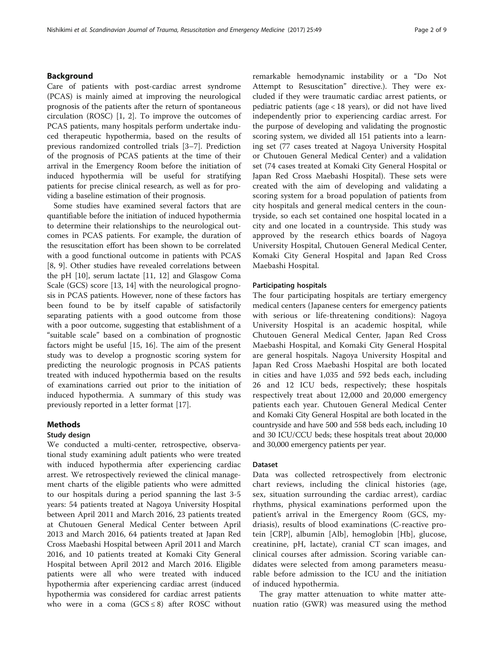## Background

Care of patients with post-cardiac arrest syndrome (PCAS) is mainly aimed at improving the neurological prognosis of the patients after the return of spontaneous circulation (ROSC) [\[1](#page-8-0), [2](#page-8-0)]. To improve the outcomes of PCAS patients, many hospitals perform undertake induced therapeutic hypothermia, based on the results of previous randomized controlled trials [[3](#page-8-0)–[7\]](#page-8-0). Prediction of the prognosis of PCAS patients at the time of their arrival in the Emergency Room before the initiation of induced hypothermia will be useful for stratifying patients for precise clinical research, as well as for providing a baseline estimation of their prognosis.

Some studies have examined several factors that are quantifiable before the initiation of induced hypothermia to determine their relationships to the neurological outcomes in PCAS patients. For example, the duration of the resuscitation effort has been shown to be correlated with a good functional outcome in patients with PCAS [[8, 9\]](#page-8-0). Other studies have revealed correlations between the pH [\[10](#page-8-0)], serum lactate [[11](#page-8-0), [12](#page-8-0)] and Glasgow Coma Scale (GCS) score [[13](#page-8-0), [14](#page-8-0)] with the neurological prognosis in PCAS patients. However, none of these factors has been found to be by itself capable of satisfactorily separating patients with a good outcome from those with a poor outcome, suggesting that establishment of a "suitable scale" based on a combination of prognostic factors might be useful [\[15](#page-8-0), [16\]](#page-8-0). The aim of the present study was to develop a prognostic scoring system for predicting the neurologic prognosis in PCAS patients treated with induced hypothermia based on the results of examinations carried out prior to the initiation of induced hypothermia. A summary of this study was previously reported in a letter format [\[17\]](#page-8-0).

## Methods

## Study design

We conducted a multi-center, retrospective, observational study examining adult patients who were treated with induced hypothermia after experiencing cardiac arrest. We retrospectively reviewed the clinical management charts of the eligible patients who were admitted to our hospitals during a period spanning the last 3-5 years: 54 patients treated at Nagoya University Hospital between April 2011 and March 2016, 23 patients treated at Chutouen General Medical Center between April 2013 and March 2016, 64 patients treated at Japan Red Cross Maebashi Hospital between April 2011 and March 2016, and 10 patients treated at Komaki City General Hospital between April 2012 and March 2016. Eligible patients were all who were treated with induced hypothermia after experiencing cardiac arrest (induced hypothermia was considered for cardiac arrest patients who were in a coma  $(GCS \leq 8)$  after ROSC without remarkable hemodynamic instability or a "Do Not Attempt to Resuscitation" directive.). They were excluded if they were traumatic cardiac arrest patients, or pediatric patients (age < 18 years), or did not have lived independently prior to experiencing cardiac arrest. For the purpose of developing and validating the prognostic scoring system, we divided all 151 patients into a learning set (77 cases treated at Nagoya University Hospital or Chutouen General Medical Center) and a validation set (74 cases treated at Komaki City General Hospital or Japan Red Cross Maebashi Hospital). These sets were created with the aim of developing and validating a scoring system for a broad population of patients from city hospitals and general medical centers in the countryside, so each set contained one hospital located in a city and one located in a countryside. This study was approved by the research ethics boards of Nagoya University Hospital, Chutouen General Medical Center, Komaki City General Hospital and Japan Red Cross Maebashi Hospital.

## Participating hospitals

The four participating hospitals are tertiary emergency medical centers (Japanese centers for emergency patients with serious or life-threatening conditions): Nagoya University Hospital is an academic hospital, while Chutouen General Medical Center, Japan Red Cross Maebashi Hospital, and Komaki City General Hospital are general hospitals. Nagoya University Hospital and Japan Red Cross Maebashi Hospital are both located in cities and have 1,035 and 592 beds each, including 26 and 12 ICU beds, respectively; these hospitals respectively treat about 12,000 and 20,000 emergency patients each year. Chutouen General Medical Center and Komaki City General Hospital are both located in the countryside and have 500 and 558 beds each, including 10 and 30 ICU/CCU beds; these hospitals treat about 20,000 and 30,000 emergency patients per year.

## Dataset

Data was collected retrospectively from electronic chart reviews, including the clinical histories (age, sex, situation surrounding the cardiac arrest), cardiac rhythms, physical examinations performed upon the patient's arrival in the Emergency Room (GCS, mydriasis), results of blood examinations (C-reactive protein [CRP], albumin [Alb], hemoglobin [Hb], glucose, creatinine, pH, lactate), cranial CT scan images, and clinical courses after admission. Scoring variable candidates were selected from among parameters measurable before admission to the ICU and the initiation of induced hypothermia.

The gray matter attenuation to white matter attenuation ratio (GWR) was measured using the method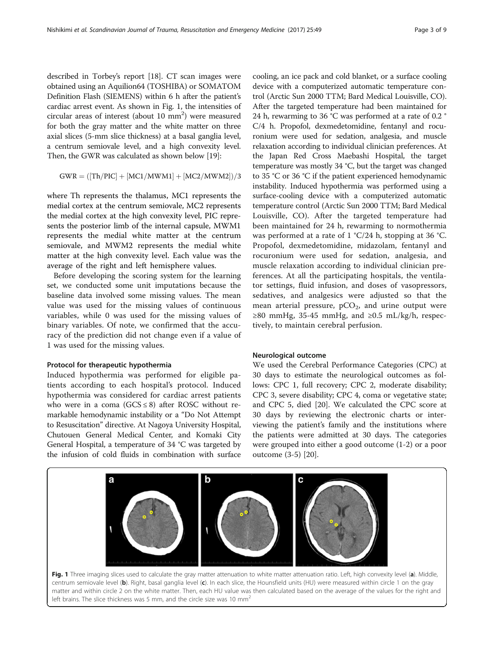described in Torbey's report [[18](#page-8-0)]. CT scan images were obtained using an Aquilion64 (TOSHIBA) or SOMATOM Definition Flash (SIEMENS) within 6 h after the patient's cardiac arrest event. As shown in Fig. 1, the intensities of  $circular$  areas of interest (about 10  $mm<sup>2</sup>$ ) were measured for both the gray matter and the white matter on three axial slices (5-mm slice thickness) at a basal ganglia level, a centrum semiovale level, and a high convexity level. Then, the GWR was calculated as shown below [\[19\]](#page-8-0):

$$
GWR = ([Th/PIC] + [MC1/MWM1] + [MC2/MWM2])/3
$$

where Th represents the thalamus, MC1 represents the medial cortex at the centrum semiovale, MC2 represents the medial cortex at the high convexity level, PIC represents the posterior limb of the internal capsule, MWM1 represents the medial white matter at the centrum semiovale, and MWM2 represents the medial white matter at the high convexity level. Each value was the average of the right and left hemisphere values.

Before developing the scoring system for the learning set, we conducted some unit imputations because the baseline data involved some missing values. The mean value was used for the missing values of continuous variables, while 0 was used for the missing values of binary variables. Of note, we confirmed that the accuracy of the prediction did not change even if a value of 1 was used for the missing values.

## Protocol for therapeutic hypothermia

Induced hypothermia was performed for eligible patients according to each hospital's protocol. Induced hypothermia was considered for cardiac arrest patients who were in a coma ( $GCS \leq 8$ ) after ROSC without remarkable hemodynamic instability or a "Do Not Attempt to Resuscitation" directive. At Nagoya University Hospital, Chutouen General Medical Center, and Komaki City General Hospital, a temperature of 34 °C was targeted by the infusion of cold fluids in combination with surface

cooling, an ice pack and cold blanket, or a surface cooling device with a computerized automatic temperature control (Arctic Sun 2000 TTM; Bard Medical Louisville, CO). After the targeted temperature had been maintained for 24 h, rewarming to 36 °C was performed at a rate of 0.2 ° C/4 h. Propofol, dexmedetomidine, fentanyl and rocuronium were used for sedation, analgesia, and muscle relaxation according to individual clinician preferences. At the Japan Red Cross Maebashi Hospital, the target temperature was mostly 34 °C, but the target was changed to 35 °C or 36 °C if the patient experienced hemodynamic instability. Induced hypothermia was performed using a surface-cooling device with a computerized automatic temperature control (Arctic Sun 2000 TTM; Bard Medical Louisville, CO). After the targeted temperature had been maintained for 24 h, rewarming to normothermia was performed at a rate of 1 °C/24 h, stopping at 36 °C. Propofol, dexmedetomidine, midazolam, fentanyl and rocuronium were used for sedation, analgesia, and muscle relaxation according to individual clinician preferences. At all the participating hospitals, the ventilator settings, fluid infusion, and doses of vasopressors, sedatives, and analgesics were adjusted so that the mean arterial pressure,  $pCO<sub>2</sub>$ , and urine output were ≥80 mmHg, 35-45 mmHg, and ≥0.5 mL/kg/h, respectively, to maintain cerebral perfusion.

## Neurological outcome

We used the Cerebral Performance Categories (CPC) at 30 days to estimate the neurological outcomes as follows: CPC 1, full recovery; CPC 2, moderate disability; CPC 3, severe disability; CPC 4, coma or vegetative state; and CPC 5, died [[20\]](#page-8-0). We calculated the CPC score at 30 days by reviewing the electronic charts or interviewing the patient's family and the institutions where the patients were admitted at 30 days. The categories were grouped into either a good outcome (1-2) or a poor outcome (3-5) [\[20\]](#page-8-0).



centrum semiovale level (b). Right, basal ganglia level (c). In each slice, the Hounsfield units (HU) were measured within circle 1 on the gray matter and within circle 2 on the white matter. Then, each HU value was then calculated based on the average of the values for the right and left brains. The slice thickness was 5 mm, and the circle size was 10 mm<sup>2</sup>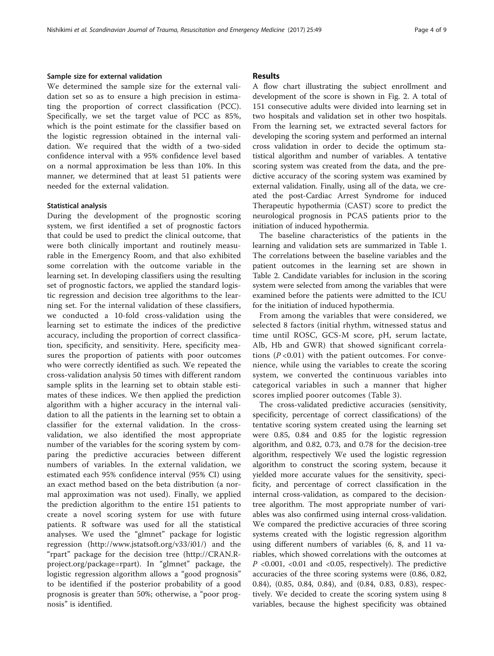## Sample size for external validation

We determined the sample size for the external validation set so as to ensure a high precision in estimating the proportion of correct classification (PCC). Specifically, we set the target value of PCC as 85%, which is the point estimate for the classifier based on the logistic regression obtained in the internal validation. We required that the width of a two-sided confidence interval with a 95% confidence level based on a normal approximation be less than 10%. In this manner, we determined that at least 51 patients were needed for the external validation.

## Statistical analysis

During the development of the prognostic scoring system, we first identified a set of prognostic factors that could be used to predict the clinical outcome, that were both clinically important and routinely measurable in the Emergency Room, and that also exhibited some correlation with the outcome variable in the learning set. In developing classifiers using the resulting set of prognostic factors, we applied the standard logistic regression and decision tree algorithms to the learning set. For the internal validation of these classifiers, we conducted a 10-fold cross-validation using the learning set to estimate the indices of the predictive accuracy, including the proportion of correct classification, specificity, and sensitivity. Here, specificity measures the proportion of patients with poor outcomes who were correctly identified as such. We repeated the cross-validation analysis 50 times with different random sample splits in the learning set to obtain stable estimates of these indices. We then applied the prediction algorithm with a higher accuracy in the internal validation to all the patients in the learning set to obtain a classifier for the external validation. In the crossvalidation, we also identified the most appropriate number of the variables for the scoring system by comparing the predictive accuracies between different numbers of variables. In the external validation, we estimated each 95% confidence interval (95% CI) using an exact method based on the beta distribution (a normal approximation was not used). Finally, we applied the prediction algorithm to the entire 151 patients to create a novel scoring system for use with future patients. R software was used for all the statistical analyses. We used the "glmnet" package for logistic regression ([http://www.jstatsoft.org/v33/i01/\)](http://www.jstatsoft.org/v33/i01/) and the "rpart" package for the decision tree [\(http://CRAN.R](http://cran.r-project.org/package=rpart)[project.org/package=rpart](http://cran.r-project.org/package=rpart)). In "glmnet" package, the logistic regression algorithm allows a "good prognosis" to be identified if the posterior probability of a good prognosis is greater than 50%; otherwise, a "poor prognosis" is identified.

## Results

A flow chart illustrating the subject enrollment and development of the score is shown in Fig. [2](#page-4-0). A total of 151 consecutive adults were divided into learning set in two hospitals and validation set in other two hospitals. From the learning set, we extracted several factors for developing the scoring system and performed an internal cross validation in order to decide the optimum statistical algorithm and number of variables. A tentative scoring system was created from the data, and the predictive accuracy of the scoring system was examined by external validation. Finally, using all of the data, we created the post-Cardiac Arrest Syndrome for induced Therapeutic hypothermia (CAST) score to predict the neurological prognosis in PCAS patients prior to the initiation of induced hypothermia.

The baseline characteristics of the patients in the learning and validation sets are summarized in Table [1](#page-5-0). The correlations between the baseline variables and the patient outcomes in the learning set are shown in Table [2](#page-5-0). Candidate variables for inclusion in the scoring system were selected from among the variables that were examined before the patients were admitted to the ICU for the initiation of induced hypothermia.

From among the variables that were considered, we selected 8 factors (initial rhythm, witnessed status and time until ROSC, GCS-M score, pH, serum lactate, Alb, Hb and GWR) that showed significant correlations  $(P<0.01)$  with the patient outcomes. For convenience, while using the variables to create the scoring system, we converted the continuous variables into categorical variables in such a manner that higher scores implied poorer outcomes (Table [3\)](#page-6-0).

The cross-validated predictive accuracies (sensitivity, specificity, percentage of correct classifications) of the tentative scoring system created using the learning set were 0.85, 0.84 and 0.85 for the logistic regression algorithm, and 0.82, 0.73, and 0.78 for the decision-tree algorithm, respectively We used the logistic regression algorithm to construct the scoring system, because it yielded more accurate values for the sensitivity, specificity, and percentage of correct classification in the internal cross-validation, as compared to the decisiontree algorithm. The most appropriate number of variables was also confirmed using internal cross-validation. We compared the predictive accuracies of three scoring systems created with the logistic regression algorithm using different numbers of variables (6, 8, and 11 variables, which showed correlations with the outcomes at P <0.001, <0.01 and <0.05, respectively). The predictive accuracies of the three scoring systems were (0.86, 0.82, 0.84), (0.85, 0.84, 0.84), and (0.84, 0.83, 0.83), respectively. We decided to create the scoring system using 8 variables, because the highest specificity was obtained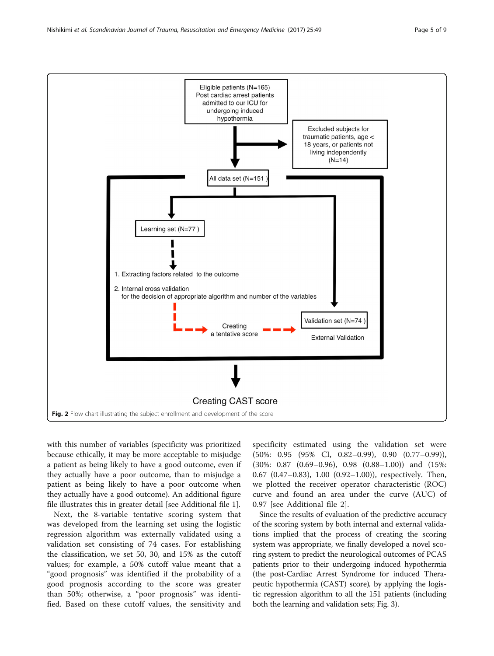<span id="page-4-0"></span>

with this number of variables (specificity was prioritized because ethically, it may be more acceptable to misjudge a patient as being likely to have a good outcome, even if they actually have a poor outcome, than to misjudge a patient as being likely to have a poor outcome when they actually have a good outcome). An additional figure file illustrates this in greater detail [see Additional file [1\]](#page-7-0).

Next, the 8-variable tentative scoring system that was developed from the learning set using the logistic regression algorithm was externally validated using a validation set consisting of 74 cases. For establishing the classification, we set 50, 30, and 15% as the cutoff values; for example, a 50% cutoff value meant that a "good prognosis" was identified if the probability of a good prognosis according to the score was greater than 50%; otherwise, a "poor prognosis" was identified. Based on these cutoff values, the sensitivity and

specificity estimated using the validation set were (50%: 0.95 (95% CI, 0.82–0.99), 0.90 (0.77–0.99)), (30%: 0.87 (0.69–0.96), 0.98 (0.88–1.00)) and (15%: 0.67 (0.47–0.83), 1.00 (0.92–1.00)), respectively. Then, we plotted the receiver operator characteristic (ROC) curve and found an area under the curve (AUC) of 0.97 [see Additional file [2\]](#page-7-0).

Since the results of evaluation of the predictive accuracy of the scoring system by both internal and external validations implied that the process of creating the scoring system was appropriate, we finally developed a novel scoring system to predict the neurological outcomes of PCAS patients prior to their undergoing induced hypothermia (the post-Cardiac Arrest Syndrome for induced Therapeutic hypothermia (CAST) score), by applying the logistic regression algorithm to all the 151 patients (including both the learning and validation sets; Fig. [3](#page-6-0)).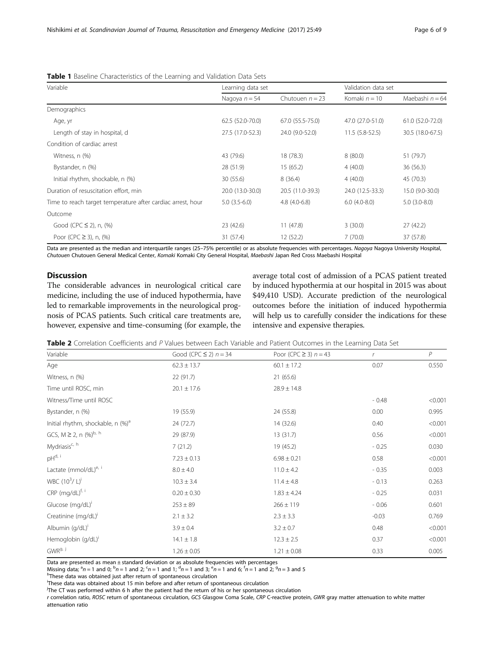| Variable                                                    | Learning data set |                   | Validation data set |                   |
|-------------------------------------------------------------|-------------------|-------------------|---------------------|-------------------|
|                                                             | Nagoya $n = 54$   | Chutouen $n = 23$ | Komaki $n = 10$     | Maebashi $n = 64$ |
| Demographics                                                |                   |                   |                     |                   |
| Age, yr                                                     | 62.5 (52.0-70.0)  | 67.0 (55.5-75.0)  | 47.0 (27.0-51.0)    | 61.0 (52.0-72.0)  |
| Length of stay in hospital, d                               | 27.5 (17.0-52.3)  | 24.0 (9.0-52.0)   | $11.5(5.8-52.5)$    | 30.5 (18.0-67.5)  |
| Condition of cardiac arrest                                 |                   |                   |                     |                   |
| Witness, n (%)                                              | 43 (79.6)         | 18 (78.3)         | 8(80.0)             | 51 (79.7)         |
| Bystander, n (%)                                            | 28 (51.9)         | 15(65.2)          | 4(40.0)             | 36(56.3)          |
| Initial rhythm, shockable, n (%)                            | 30 (55.6)         | 8(36.4)           | 4(40.0)             | 45 (70.3)         |
| Duration of resuscitation effort, min                       | 20.0 (13.0-30.0)  | 20.5 (11.0-39.3)  | 24.0 (12.5-33.3)    | 15.0 (9.0-30.0)   |
| Time to reach target temperature after cardiac arrest, hour | $5.0(3.5-6.0)$    | $4.8(4.0-6.8)$    | $6.0(4.0-8.0)$      | $5.0(3.0-8.0)$    |
| Outcome                                                     |                   |                   |                     |                   |
| Good (CPC $\leq$ 2), n, (%)                                 | 23 (42.6)         | 11(47.8)          | 3(30.0)             | 27(42.2)          |
| Poor (CPC $\geq$ 3), n, (%)                                 | 31 (57.4)         | 12(52.2)          | 7(70.0)             | 37 (57.8)         |

<span id="page-5-0"></span>Table 1 Baseline Characteristics of the Learning and Validation Data Sets

Data are presented as the median and interquartile ranges (25–75% percentile) or as absolute frequencies with percentages. Nagoya Nagoya University Hospital, Chutouen Chutouen General Medical Center, Komaki Komaki City General Hospital, Maebashi Japan Red Cross Maebashi Hospital

## **Discussion**

The considerable advances in neurological critical care medicine, including the use of induced hypothermia, have led to remarkable improvements in the neurological prognosis of PCAS patients. Such critical care treatments are, however, expensive and time-consuming (for example, the

average total cost of admission of a PCAS patient treated by induced hypothermia at our hospital in 2015 was about \$49,410 USD). Accurate prediction of the neurological outcomes before the initiation of induced hypothermia will help us to carefully consider the indications for these intensive and expensive therapies.

| Table 2 Correlation Coefficients and P Values between Each Variable and Patient Outcomes in the Learning Data Set |  |
|-------------------------------------------------------------------------------------------------------------------|--|
|-------------------------------------------------------------------------------------------------------------------|--|

| Variable                                      | Good (CPC $\leq$ 2) $n = 34$ | Poor (CPC $\geq$ 3) $n = 43$ | r       | $\overline{P}$ |
|-----------------------------------------------|------------------------------|------------------------------|---------|----------------|
| Age                                           | $62.3 \pm 13.7$              | $60.1 \pm 17.2$              | 0.07    | 0.550          |
| Witness, n (%)                                | 22 (91.7)                    | 21(65.6)                     |         |                |
| Time until ROSC, min                          | $20.1 \pm 17.6$              | $28.9 \pm 14.8$              |         |                |
| Witness/Time until ROSC                       |                              |                              | $-0.48$ | < 0.001        |
| Bystander, n (%)                              | 19 (55.9)                    | 24 (55.8)                    | 0.00    | 0.995          |
| Initial rhythm, shockable, n (%) <sup>a</sup> | 24 (72.7)                    | 14 (32.6)                    | 0.40    | < 0.001        |
| GCS, $M \ge 2$ , n $(\%)^{b, h}$              | 29 (87.9)                    | 13(31.7)                     | 0.56    | < 0.001        |
| Mydriasis <sup>c, h</sup>                     | 7(21.2)                      | 19 (45.2)                    | $-0.25$ | 0.030          |
| pH <sup>d, i</sup>                            | $7.23 \pm 0.13$              | $6.98 \pm 0.21$              | 0.58    | < 0.001        |
| Lactate (mmol/dL) <sup>e, i</sup>             | $8.0 \pm 4.0$                | $11.0 \pm 4.2$               | $-0.35$ | 0.003          |
| WBC $(10^3 / L)^i$                            | $10.3 \pm 3.4$               | $11.4 \pm 4.8$               | $-0.13$ | 0.263          |
| CRP (mg/dL) <sup>f, i</sup>                   | $0.20 \pm 0.30$              | $1.83 \pm 4.24$              | $-0.25$ | 0.031          |
| Glucose (mg/dL)'                              | $253 \pm 89$                 | $266 \pm 119$                | $-0.06$ | 0.601          |
| Creatinine (mg/dL)'                           | $2.1 \pm 3.2$                | $2.3 \pm 3.3$                | $-0.03$ | 0.769          |
| Albumin (g/dL) <sup>i</sup>                   | $3.9 \pm 0.4$                | $3.2 \pm 0.7$                | 0.48    | < 0.001        |
| Hemoglobin (g/dL) <sup>i</sup>                | $14.1 \pm 1.8$               | $12.3 \pm 2.5$               | 0.37    | < 0.001        |
| GWR <sup>g, j</sup>                           | $1.26 \pm 0.05$              | $1.21 \pm 0.08$              | 0.33    | 0.005          |

Data are presented as mean ± standard deviation or as absolute frequencies with percentages

Missing data;  ${}^a n = 1$  and 0;  ${}^b n = 1$  and 2;  ${}^c n = 1$  and 1;  ${}^d n = 1$  and 3;  ${}^e n = 1$  and 6;  ${}^f n = 1$  and 2;  ${}^g n = 3$  and 5<br>https://www.orktained.just after return of spontaneous circulation

 $<sup>h</sup>$ These data was obtained just after return of spontaneous circulation</sup>

i These data was obtained about 15 min before and after return of spontaneous circulation

<sup>j</sup>The CT was performed within 6 h after the patient had the return of his or her spontaneous circulation

r correlation ratio, ROSC return of spontaneous circulation, GCS Glasgow Coma Scale, CRP C-reactive protein, GWR gray matter attenuation to white matter attenuation ratio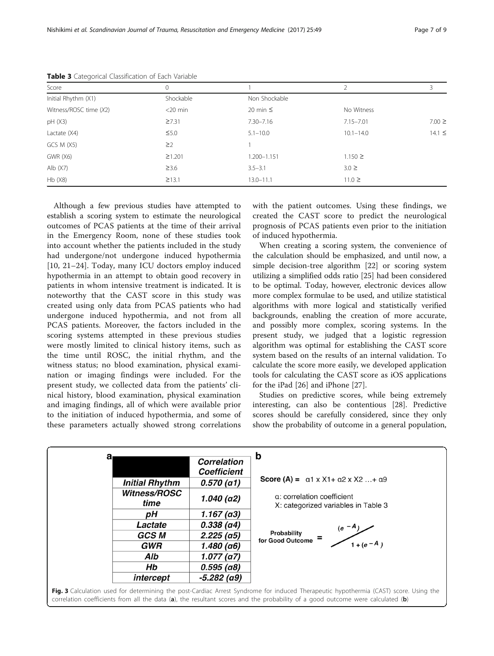| Score                  | 0            |               |               | 3           |
|------------------------|--------------|---------------|---------------|-------------|
| Initial Rhythm (X1)    | Shockable    | Non Shockable |               |             |
| Witness/ROSC time (X2) | $<$ 20 min   | 20 min $\leq$ | No Witness    |             |
| pH(X3)                 | 27.31        | $7.30 - 7.16$ | $7.15 - 7.01$ | $7.00 \geq$ |
| Lactate (X4)           | $\leq 5.0$   | $5.1 - 10.0$  | $10.1 - 14.0$ | $14.1 \le$  |
| GCS M (X5)             | $\geq$ 2     |               |               |             |
| <b>GWR (X6)</b>        | $\geq$ 1.201 | 1.200-1.151   | $1.150 \ge$   |             |
| Alb $(X7)$             | $\geq$ 3.6   | $3.5 - 3.1$   | $3.0 \geq$    |             |
| Hb(X8)                 | $\geq$ 13.1  | $13.0 - 11.1$ | $11.0 \ge$    |             |

<span id="page-6-0"></span>Table 3 Categorical Classification of Each Variable

Although a few previous studies have attempted to establish a scoring system to estimate the neurological outcomes of PCAS patients at the time of their arrival in the Emergency Room, none of these studies took into account whether the patients included in the study had undergone/not undergone induced hypothermia [[10, 21](#page-8-0)–[24\]](#page-8-0). Today, many ICU doctors employ induced hypothermia in an attempt to obtain good recovery in patients in whom intensive treatment is indicated. It is noteworthy that the CAST score in this study was created using only data from PCAS patients who had undergone induced hypothermia, and not from all PCAS patients. Moreover, the factors included in the scoring systems attempted in these previous studies were mostly limited to clinical history items, such as the time until ROSC, the initial rhythm, and the witness status; no blood examination, physical examination or imaging findings were included. For the present study, we collected data from the patients' clinical history, blood examination, physical examination and imaging findings, all of which were available prior to the initiation of induced hypothermia, and some of these parameters actually showed strong correlations with the patient outcomes. Using these findings, we created the CAST score to predict the neurological prognosis of PCAS patients even prior to the initiation of induced hypothermia.

When creating a scoring system, the convenience of the calculation should be emphasized, and until now, a simple decision-tree algorithm [\[22](#page-8-0)] or scoring system utilizing a simplified odds ratio [\[25](#page-8-0)] had been considered to be optimal. Today, however, electronic devices allow more complex formulae to be used, and utilize statistical algorithms with more logical and statistically verified backgrounds, enabling the creation of more accurate, and possibly more complex, scoring systems. In the present study, we judged that a logistic regression algorithm was optimal for establishing the CAST score system based on the results of an internal validation. To calculate the score more easily, we developed application tools for calculating the CAST score as iOS applications for the iPad [[26\]](#page-8-0) and iPhone [\[27](#page-8-0)].

Studies on predictive scores, while being extremely interesting, can also be contentious [\[28\]](#page-8-0). Predictive scores should be carefully considered, since they only show the probability of outcome in a general population,

| a |                       | <b>Correlation</b><br><b>Coefficient</b> | b                                                                                                                                                                                                                                                                     |
|---|-----------------------|------------------------------------------|-----------------------------------------------------------------------------------------------------------------------------------------------------------------------------------------------------------------------------------------------------------------------|
|   | <b>Initial Rhythm</b> | 0.570(a1)                                | <b>Score (A) =</b> $\alpha$ 1 x X1+ $\alpha$ 2 x X2 + $\alpha$ 9                                                                                                                                                                                                      |
|   | Witness/ROSC<br>time  | $1.040$ (a2)                             | a: correlation coefficient<br>X: categorized variables in Table 3                                                                                                                                                                                                     |
|   | рH                    | $1.167$ (a3)                             |                                                                                                                                                                                                                                                                       |
|   | Lactate               | $0.338$ (a4)                             | $(e^{-A}$                                                                                                                                                                                                                                                             |
|   | GCS M                 | $2.225$ (a5)                             | Probability<br>for Good Outcome                                                                                                                                                                                                                                       |
|   | <b>GWR</b>            | 1.480 (a6)                               | $1 + (e - A)$                                                                                                                                                                                                                                                         |
|   | Alb                   | 1.077(a7)                                |                                                                                                                                                                                                                                                                       |
|   | Hb                    | $0.595$ (a8)                             |                                                                                                                                                                                                                                                                       |
|   | intercept             | -5.282 (a9)                              |                                                                                                                                                                                                                                                                       |
|   |                       |                                          | Fig. 3 Calculation used for determining the post-Cardiac Arrest Syndrome for induced Therapeutic hypothermia (CAST) score. Using the<br>correlation coefficients from all the data (a) the resultant scores and the probability of a good outcome were calculated (b) |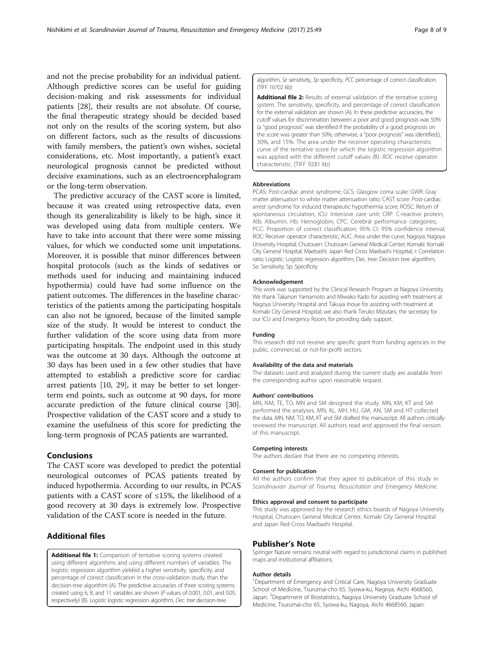<span id="page-7-0"></span>and not the precise probability for an individual patient. Although predictive scores can be useful for guiding decision-making and risk assessments for individual patients [[28](#page-8-0)], their results are not absolute. Of course, the final therapeutic strategy should be decided based not only on the results of the scoring system, but also on different factors, such as the results of discussions with family members, the patient's own wishes, societal considerations, etc. Most importantly, a patient's exact neurological prognosis cannot be predicted without decisive examinations, such as an electroencephalogram or the long-term observation.

The predictive accuracy of the CAST score is limited, because it was created using retrospective data, even though its generalizability is likely to be high, since it was developed using data from multiple centers. We have to take into account that there were some missing values, for which we conducted some unit imputations. Moreover, it is possible that minor differences between hospital protocols (such as the kinds of sedatives or methods used for inducing and maintaining induced hypothermia) could have had some influence on the patient outcomes. The differences in the baseline characteristics of the patients among the participating hospitals can also not be ignored, because of the limited sample size of the study. It would be interest to conduct the further validation of the score using data from more participating hospitals. The endpoint used in this study was the outcome at 30 days. Although the outcome at 30 days has been used in a few other studies that have attempted to establish a predictive score for cardiac arrest patients [[10, 29\]](#page-8-0), it may be better to set longerterm end points, such as outcome at 90 days, for more accurate prediction of the future clinical course [\[30](#page-8-0)]. Prospective validation of the CAST score and a study to examine the usefulness of this score for predicting the long-term prognosis of PCAS patients are warranted.

## Conclusions

The CAST score was developed to predict the potential neurological outcomes of PCAS patients treated by induced hypothermia. According to our results, in PCAS patients with a CAST score of  $\leq$ 15%, the likelihood of a good recovery at 30 days is extremely low. Prospective validation of the CAST score is needed in the future.

## Additional files

[Additional file 1:](dx.doi.org/10.1186/s13049-017-0392-y) Comparison of tentative scoring systems created using different algorithms and using different numbers of variables. The logistic regression algorithm yielded a higher sensitivity, specificity, and percentage of correct classification in the cross-validation study, than the decision-tree algorithm (A). The predictive accuracies of three scoring systems created using 6, 8, and 11 variables are shown (P values of 0.001, 0.01, and 0.05, respectively) (B). Logistic logistic regression algorithm, Dec. tree decision-tree

algorithm, Se sensitivity, Sp specificity, PCC percentage of correct classification. (TIFF 16702 kb)

[Additional file 2:](dx.doi.org/10.1186/s13049-017-0392-y) Results of external validation of the tentative scoring system. The sensitivity, specificity, and percentage of correct classification for the external validation are shown (A). In these predictive accuracies, the cutoff values for discrimination between a poor and good prognosis was 50% (a "good prognosis" was identified if the probability of a good prognosis on the score was greater than 50%; otherwise, a "poor prognosis" was identified.), 30%, and 15%. The area under the receiver operating characteristic curve of the tentative score for which the logistic regression algorithm was applied with the different cutoff values (B). ROC receive operator characteristic. (TIFF 9281 kb)

#### **Abbreviations**

PCAS: Post-cardiac arrest syndrome; GCS: Glasgow coma scale; GWR: Gray matter attenuation to white matter attenuation ratio; CAST score: Post-cardiac arrest syndrome for induced therapeutic hypothermia score; ROSC: Return of spontaneous circulation; ICU: Intensive care unit; CRP: C-reactive protein; Alb: Albumin; Hb: Hemoglobin; CPC: Cerebral performance categories; PCC: Proportion of correct classification; 95% CI: 95% confidence interval; ROC: Receiver operator characteristic; AUC: Area under the curve; Nagoya: Nagoya University Hospital; Chutouen: Chutouen General Medical Center; Komaki: Komaki City General Hospital; Maebashi: Japan Red Cross Maebashi Hospital; r: Correlation ratio; Logistic: Logistic regression algorithm; Dec. tree: Decision tree algorithm; Se: Sensitivity; Sp: Specificity

#### Acknowledgement

This work was supported by the Clinical Research Program at Nagoya University. We thank Takanori Yamamoto and Miwako Kado for assisting with treatment at Nagoya University Hospital and Takuya Inoue for assisting with treatment at Komaki City General Hospital; we also thank Teruko Mizutani, the secretary for our ICU and Emergency Room, for providing daily support.

#### Funding

This research did not receive any specific grant from funding agencies in the public, commercial, or not-for-profit sectors.

#### Availability of the data and materials

The datasets used and analyzed during the current study are available from the corresponding author upon reasonable request.

#### Authors' contributions

MN, NM, TE, TO, MN and SM designed the study. MN, KM, KT and SM performed the analyses. MN, KL, MH, HU, GM, AN, SM and HT collected the data. MN, NM, TO, KM, KT and SM drafted the manuscript. All authors critically reviewed the manuscript. All authors read and approved the final version of this manuscript.

#### Competing interests

The authors declare that there are no competing interests.

## Consent for publication

All the authors confirm that they agree to publication of this study in Scandinavian Journal of Trauma, Resuscitation and Emergency Medicine.

## Ethics approval and consent to participate

This study was approved by the research ethics boards of Nagoya University Hospital, Chutouen General Medical Center, Komaki City General Hospital and Japan Red Cross Maebashi Hospital.

## Publisher's Note

Springer Nature remains neutral with regard to jurisdictional claims in published maps and institutional affiliations.

#### Author details

<sup>1</sup>Department of Emergency and Critical Care, Nagoya University Graduate School of Medicine, Tsurumai-cho 65, Syowa-ku, Nagoya, Aichi 4668560, Japan. <sup>2</sup>Department of Biostatistics, Nagoya University Graduate School of Medicine, Tsurumai-cho 65, Syowa-ku, Nagoya, Aichi 4668560, Japan.